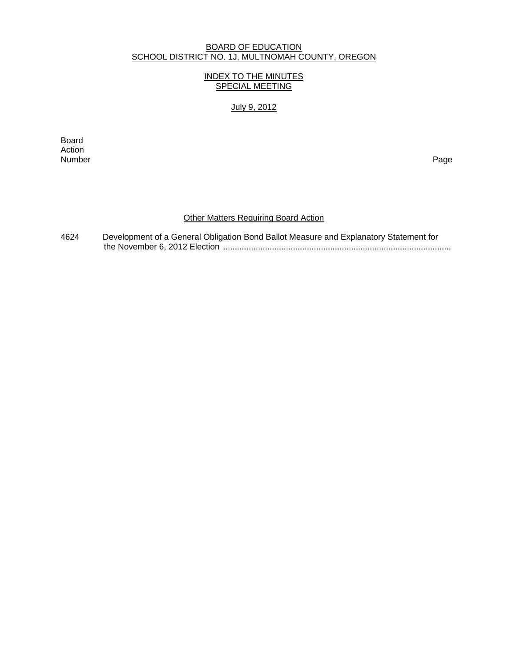#### BOARD OF EDUCATION SCHOOL DISTRICT NO. 1J, MULTNOMAH COUNTY, OREGON

## INDEX TO THE MINUTES SPECIAL MEETING

July 9, 2012

extending the control of the control of the control of the control of the control of the control of the control of the control of the control of the control of the control of the control of the control of the control of th Action<br>Number Number Page

## **Other Matters Requiring Board Action**

4624 Development of a General Obligation Bond Ballot Measure and Explanatory Statement for the November 6, 2012 Election ..................................................................................................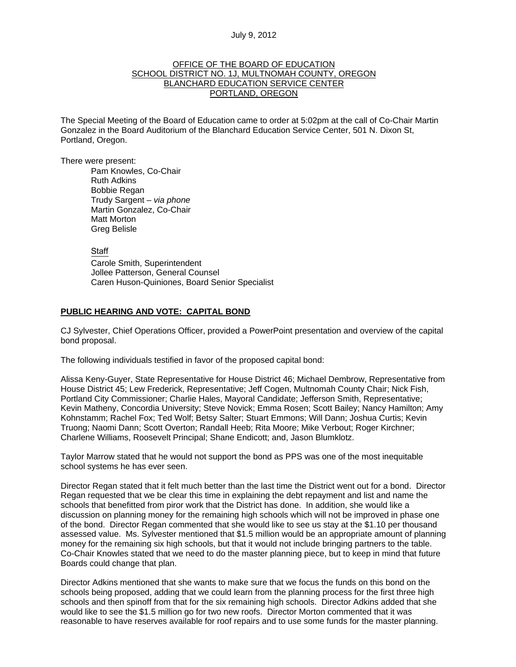#### July 9, 2012

## OFFICE OF THE BOARD OF EDUCATION SCHOOL DISTRICT NO. 1J, MULTNOMAH COUNTY, OREGON BLANCHARD EDUCATION SERVICE CENTER PORTLAND, OREGON

The Special Meeting of the Board of Education came to order at 5:02pm at the call of Co-Chair Martin Gonzalez in the Board Auditorium of the Blanchard Education Service Center, 501 N. Dixon St, Portland, Oregon.

There were present: Pam Knowles, Co-Chair Ruth Adkins Bobbie Regan Trudy Sargent – *via phone* Martin Gonzalez, Co-Chair Matt Morton Greg Belisle

> Staff Carole Smith, Superintendent Jollee Patterson, General Counsel Caren Huson-Quiniones, Board Senior Specialist

#### **PUBLIC HEARING AND VOTE: CAPITAL BOND**

CJ Sylvester, Chief Operations Officer, provided a PowerPoint presentation and overview of the capital bond proposal.

The following individuals testified in favor of the proposed capital bond:

Alissa Keny-Guyer, State Representative for House District 46; Michael Dembrow, Representative from House District 45; Lew Frederick, Representative; Jeff Cogen, Multnomah County Chair; Nick Fish, Portland City Commissioner; Charlie Hales, Mayoral Candidate; Jefferson Smith, Representative; Kevin Matheny, Concordia University; Steve Novick; Emma Rosen; Scott Bailey; Nancy Hamilton; Amy Kohnstamm; Rachel Fox; Ted Wolf; Betsy Salter; Stuart Emmons; Will Dann; Joshua Curtis; Kevin Truong; Naomi Dann; Scott Overton; Randall Heeb; Rita Moore; Mike Verbout; Roger Kirchner; Charlene Williams, Roosevelt Principal; Shane Endicott; and, Jason Blumklotz.

Taylor Marrow stated that he would not support the bond as PPS was one of the most inequitable school systems he has ever seen.

Director Regan stated that it felt much better than the last time the District went out for a bond. Director Regan requested that we be clear this time in explaining the debt repayment and list and name the schools that benefitted from piror work that the District has done. In addition, she would like a discussion on planning money for the remaining high schools which will not be improved in phase one of the bond. Director Regan commented that she would like to see us stay at the \$1.10 per thousand assessed value. Ms. Sylvester mentioned that \$1.5 million would be an appropriate amount of planning money for the remaining six high schools, but that it would not include bringing partners to the table. Co-Chair Knowles stated that we need to do the master planning piece, but to keep in mind that future Boards could change that plan.

Director Adkins mentioned that she wants to make sure that we focus the funds on this bond on the schools being proposed, adding that we could learn from the planning process for the first three high schools and then spinoff from that for the six remaining high schools. Director Adkins added that she would like to see the \$1.5 million go for two new roofs. Director Morton commented that it was reasonable to have reserves available for roof repairs and to use some funds for the master planning.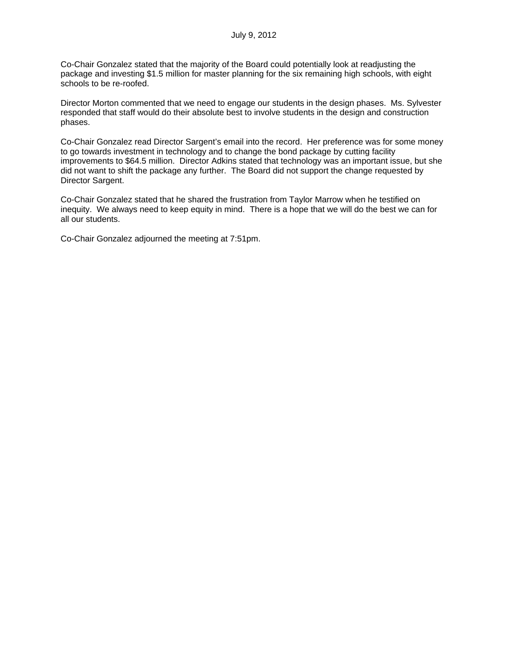Co-Chair Gonzalez stated that the majority of the Board could potentially look at readjusting the package and investing \$1.5 million for master planning for the six remaining high schools, with eight schools to be re-roofed.

Director Morton commented that we need to engage our students in the design phases. Ms. Sylvester responded that staff would do their absolute best to involve students in the design and construction phases.

Co-Chair Gonzalez read Director Sargent's email into the record. Her preference was for some money to go towards investment in technology and to change the bond package by cutting facility improvements to \$64.5 million. Director Adkins stated that technology was an important issue, but she did not want to shift the package any further. The Board did not support the change requested by Director Sargent.

Co-Chair Gonzalez stated that he shared the frustration from Taylor Marrow when he testified on inequity. We always need to keep equity in mind. There is a hope that we will do the best we can for all our students.

Co-Chair Gonzalez adjourned the meeting at 7:51pm.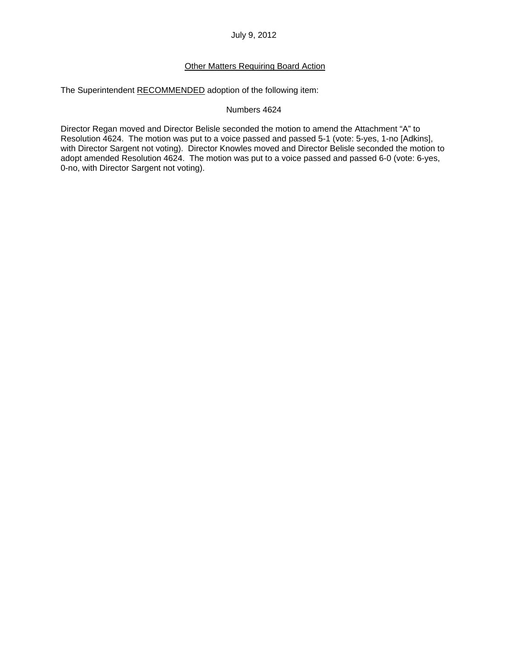July 9, 2012

# Other Matters Requiring Board Action

The Superintendent RECOMMENDED adoption of the following item:

## Numbers 4624

Director Regan moved and Director Belisle seconded the motion to amend the Attachment "A" to Resolution 4624. The motion was put to a voice passed and passed 5-1 (vote: 5-yes, 1-no [Adkins], with Director Sargent not voting). Director Knowles moved and Director Belisle seconded the motion to adopt amended Resolution 4624. The motion was put to a voice passed and passed 6-0 (vote: 6-yes, 0-no, with Director Sargent not voting).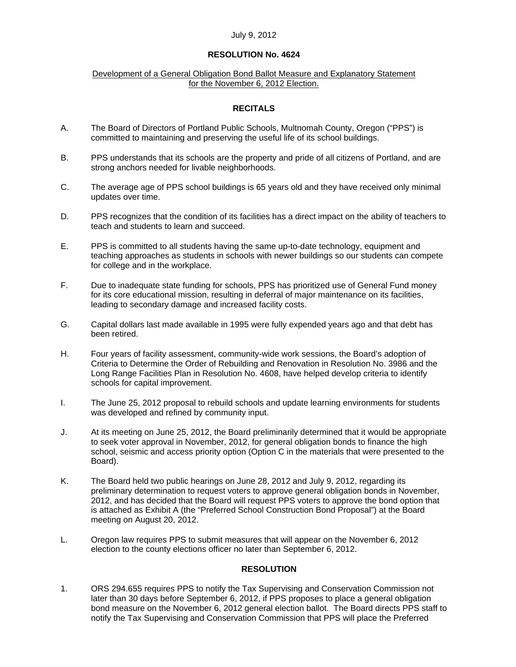## July 9, 2012

# **RESOLUTION No. 4624**

## Development of a General Obligation Bond Ballot Measure and Explanatory Statement for the November 6, 2012 Election.

# **RECITALS**

- A. The Board of Directors of Portland Public Schools, Multnomah County, Oregon ("PPS") is committed to maintaining and preserving the useful life of its school buildings.
- B. PPS understands that its schools are the property and pride of all citizens of Portland, and are strong anchors needed for livable neighborhoods.
- C. The average age of PPS school buildings is 65 years old and they have received only minimal updates over time.
- D. PPS recognizes that the condition of its facilities has a direct impact on the ability of teachers to teach and students to learn and succeed.
- E. PPS is committed to all students having the same up-to-date technology, equipment and teaching approaches as students in schools with newer buildings so our students can compete for college and in the workplace.
- F. Due to inadequate state funding for schools, PPS has prioritized use of General Fund money for its core educational mission, resulting in deferral of major maintenance on its facilities, leading to secondary damage and increased facility costs.
- G. Capital dollars last made available in 1995 were fully expended years ago and that debt has been retired.
- H. Four years of facility assessment, community-wide work sessions, the Board's adoption of Criteria to Determine the Order of Rebuilding and Renovation in Resolution No. 3986 and the Long Range Facilities Plan in Resolution No. 4608, have helped develop criteria to identify schools for capital improvement.
- I. The June 25, 2012 proposal to rebuild schools and update learning environments for students was developed and refined by community input.
- J. At its meeting on June 25, 2012, the Board preliminarily determined that it would be appropriate to seek voter approval in November, 2012, for general obligation bonds to finance the high school, seismic and access priority option (Option C in the materials that were presented to the Board).
- K. The Board held two public hearings on June 28, 2012 and July 9, 2012, regarding its preliminary determination to request voters to approve general obligation bonds in November, 2012, and has decided that the Board will request PPS voters to approve the bond option that is attached as Exhibit A (the "Preferred School Construction Bond Proposal") at the Board meeting on August 20, 2012.
- L. Oregon law requires PPS to submit measures that will appear on the November 6, 2012 election to the county elections officer no later than September 6, 2012.

#### **RESOLUTION**

1. ORS 294.655 requires PPS to notify the Tax Supervising and Conservation Commission not later than 30 days before September 6, 2012, if PPS proposes to place a general obligation bond measure on the November 6, 2012 general election ballot. The Board directs PPS staff to notify the Tax Supervising and Conservation Commission that PPS will place the Preferred